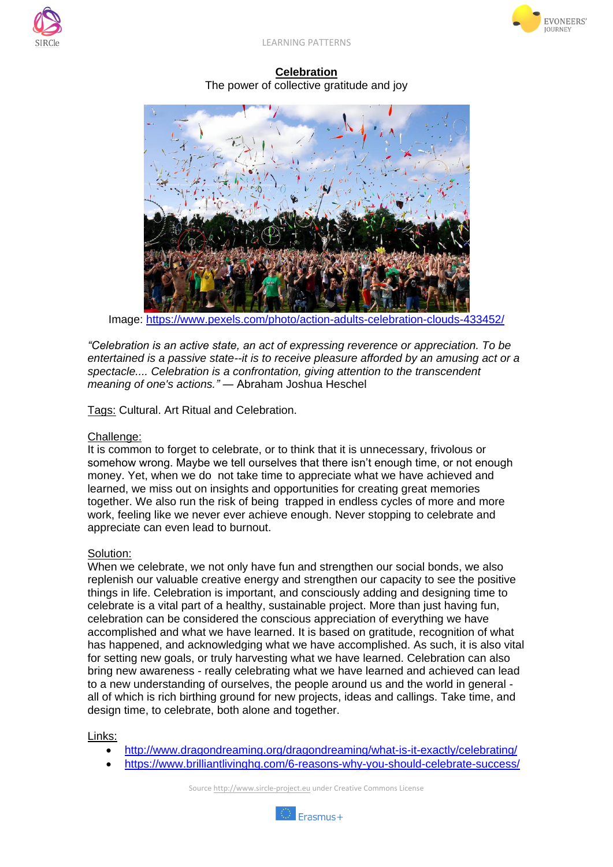





**Celebration** The power of collective gratitude and joy



Image: <https://www.pexels.com/photo/action-adults-celebration-clouds-433452/>

*"Celebration is an active state, an act of expressing reverence or appreciation. To be entertained is a passive state--it is to receive pleasure afforded by an amusing act or a spectacle.... Celebration is a confrontation, giving attention to the transcendent meaning of one's actions."* ― Abraham Joshua Heschel

Tags: Cultural. Art Ritual and Celebration.

## Challenge:

It is common to forget to celebrate, or to think that it is unnecessary, frivolous or somehow wrong. Maybe we tell ourselves that there isn't enough time, or not enough money. Yet, when we do not take time to appreciate what we have achieved and learned, we miss out on insights and opportunities for creating great memories together. We also run the risk of being trapped in endless cycles of more and more work, feeling like we never ever achieve enough. Never stopping to celebrate and appreciate can even lead to burnout.

## Solution:

When we celebrate, we not only have fun and strengthen our social bonds, we also replenish our valuable creative energy and strengthen our capacity to see the positive things in life. Celebration is important, and consciously adding and designing time to celebrate is a vital part of a healthy, sustainable project. More than just having fun, celebration can be considered the conscious appreciation of everything we have accomplished and what we have learned. It is based on gratitude, recognition of what has happened, and acknowledging what we have accomplished. As such, it is also vital for setting new goals, or truly harvesting what we have learned. Celebration can also bring new awareness - really celebrating what we have learned and achieved can lead to a new understanding of ourselves, the people around us and the world in general all of which is rich birthing ground for new projects, ideas and callings. Take time, and design time, to celebrate, both alone and together.

## Links:

- <http://www.dragondreaming.org/dragondreaming/what-is-it-exactly/celebrating/>
- <https://www.brilliantlivinghq.com/6-reasons-why-you-should-celebrate-success/>

Source http://www.sircle-project.eu under Creative Commons License